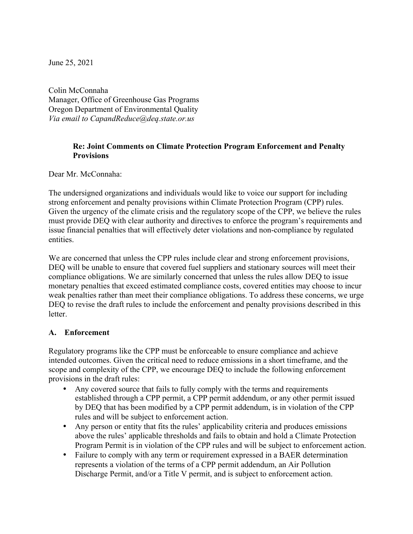June 25, 2021

Colin McConnaha Manager, Office of Greenhouse Gas Programs Oregon Department of Environmental Quality *Via email to CapandReduce@deq.state.or.us* 

## **Re: Joint Comments on Climate Protection Program Enforcement and Penalty Provisions**

Dear Mr. McConnaha:

The undersigned organizations and individuals would like to voice our support for including strong enforcement and penalty provisions within Climate Protection Program (CPP) rules. Given the urgency of the climate crisis and the regulatory scope of the CPP, we believe the rules must provide DEQ with clear authority and directives to enforce the program's requirements and issue financial penalties that will effectively deter violations and non-compliance by regulated entities.

We are concerned that unless the CPP rules include clear and strong enforcement provisions, DEQ will be unable to ensure that covered fuel suppliers and stationary sources will meet their compliance obligations. We are similarly concerned that unless the rules allow DEQ to issue monetary penalties that exceed estimated compliance costs, covered entities may choose to incur weak penalties rather than meet their compliance obligations. To address these concerns, we urge DEQ to revise the draft rules to include the enforcement and penalty provisions described in this **letter** 

## **A. Enforcement**

Regulatory programs like the CPP must be enforceable to ensure compliance and achieve intended outcomes. Given the critical need to reduce emissions in a short timeframe, and the scope and complexity of the CPP, we encourage DEQ to include the following enforcement provisions in the draft rules:

- Any covered source that fails to fully comply with the terms and requirements established through a CPP permit, a CPP permit addendum, or any other permit issued by DEQ that has been modified by a CPP permit addendum, is in violation of the CPP rules and will be subject to enforcement action.
- Any person or entity that fits the rules' applicability criteria and produces emissions above the rules' applicable thresholds and fails to obtain and hold a Climate Protection Program Permit is in violation of the CPP rules and will be subject to enforcement action.
- Failure to comply with any term or requirement expressed in a BAER determination represents a violation of the terms of a CPP permit addendum, an Air Pollution Discharge Permit, and/or a Title V permit, and is subject to enforcement action.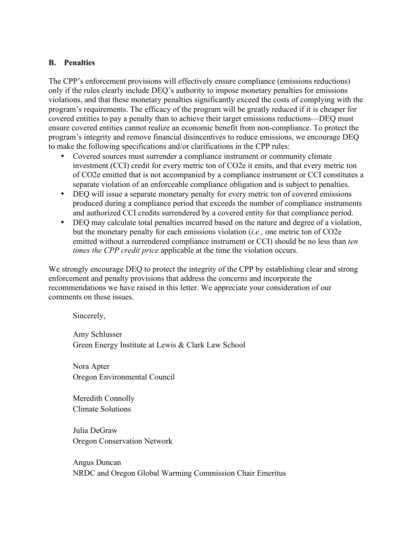## **B. Penalties**

The CPP's enforcement provisions will effectively ensure compliance (emissions reductions) only if the rules clearly include DEQ's authority to impose monetary penalties for emissions violations, and that these monetary penalties significantly exceed the costs of complying with the program's requirements. The efficacy of the program will be greatly reduced if it is cheaper for covered entities to pay a penalty than to achieve their target emissions reductions—DEQ must ensure covered entities cannot realize an economic benefit from non-compliance. To protect the program's integrity and remove financial disincentives to reduce emissions, we encourage DEQ to make the following specifications and/or clarifications in the CPP rules:

- Covered sources must surrender a compliance instrument or community climate investment (CCI) credit for every metric ton of CO2e it emits, and that every metric ton of CO2e emitted that is not accompanied by a compliance instrument or CCI constitutes a separate violation of an enforceable compliance obligation and is subject to penalties.
- DEQ will issue a separate monetary penalty for every metric ton of covered emissions produced during a compliance period that exceeds the number of compliance instruments and authorized CCI credits surrendered by a covered entity for that compliance period.
- DEQ may calculate total penalties incurred based on the nature and degree of a violation, but the monetary penalty for each emissions violation (*i.e.,* one metric ton of CO2e emitted without a surrendered compliance instrument or CCI) should be no less than *ten times the CPP credit price* applicable at the time the violation occurs.

We strongly encourage DEQ to protect the integrity of the CPP by establishing clear and strong enforcement and penalty provisions that address the concerns and incorporate the recommendations we have raised in this letter. We appreciate your consideration of our comments on these issues.

Sincerely,

Amy Schlusser Green Energy Institute at Lewis & Clark Law School

Nora Apter Oregon Environmental Council

Meredith Connolly Climate Solutions

Julia DeGraw Oregon Conservation Network

Angus Duncan NRDC and Oregon Global Warming Commission Chair Emeritus